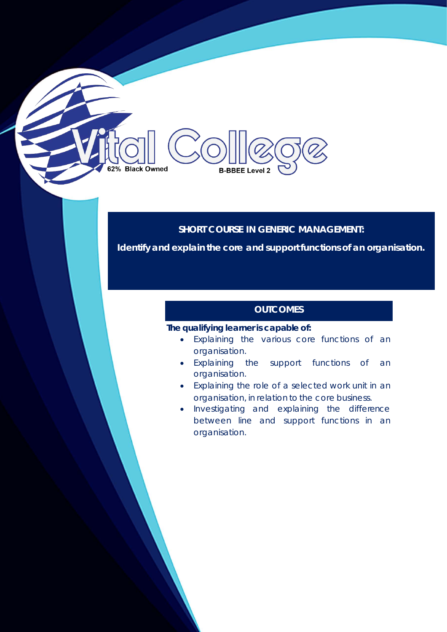#### **SHORT COURSE IN GENERIC MANAGEMENT:**

**Identify and explain the core and support functions of an organisation.**

#### **OUTCOMES**

### **The qualifying learner is capable of:**

**B-BBEE Level 2** 

62% Black Owned

- Explaining the various core functions of an organisation.
- Explaining the support functions of an organisation.
- Explaining the role of a selected work unit in an organisation, in relation to the core business.
- Investigating and explaining the difference between line and support functions in an organisation.